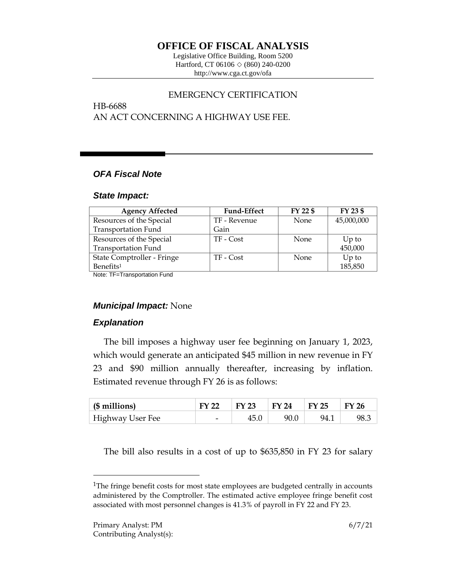# **OFFICE OF FISCAL ANALYSIS**

Legislative Office Building, Room 5200 Hartford, CT 06106  $\Diamond$  (860) 240-0200 http://www.cga.ct.gov/ofa

## EMERGENCY CERTIFICATION

HB-6688 AN ACT CONCERNING A HIGHWAY USE FEE.

## *OFA Fiscal Note*

#### *State Impact:*

| <b>Agency Affected</b>     | <b>Fund-Effect</b> | FY 22 \$    | FY 23 \$   |
|----------------------------|--------------------|-------------|------------|
| Resources of the Special   | TF - Revenue       | <b>None</b> | 45,000,000 |
| <b>Transportation Fund</b> | Gain               |             |            |
| Resources of the Special   | TF - Cost          | None        | $Up$ to    |
| <b>Transportation Fund</b> |                    |             | 450,000    |
| State Comptroller - Fringe | TF - Cost          | None        | $Up$ to    |
| Benefits <sup>1</sup>      |                    |             | 185,850    |

Note: TF=Transportation Fund

## *Municipal Impact:* None

## *Explanation*

The bill imposes a highway user fee beginning on January 1, 2023, which would generate an anticipated \$45 million in new revenue in FY 23 and \$90 million annually thereafter, increasing by inflation. Estimated revenue through FY 26 is as follows:

| $\vert$ (\$ millions) | <b>FY 22</b> | $\mathsf{FY}$ 23 | $\mid$ FY 24 | $\mid$ FY 25 | <b>FY 26</b> |
|-----------------------|--------------|------------------|--------------|--------------|--------------|
| Highway User Fee      | -            | 45.0             | 90.0         | 94.1         | 98.3         |

The bill also results in a cost of up to \$635,850 in FY 23 for salary

 $\overline{a}$ 

<sup>&</sup>lt;sup>1</sup>The fringe benefit costs for most state employees are budgeted centrally in accounts administered by the Comptroller. The estimated active employee fringe benefit cost associated with most personnel changes is 41.3% of payroll in FY 22 and FY 23.